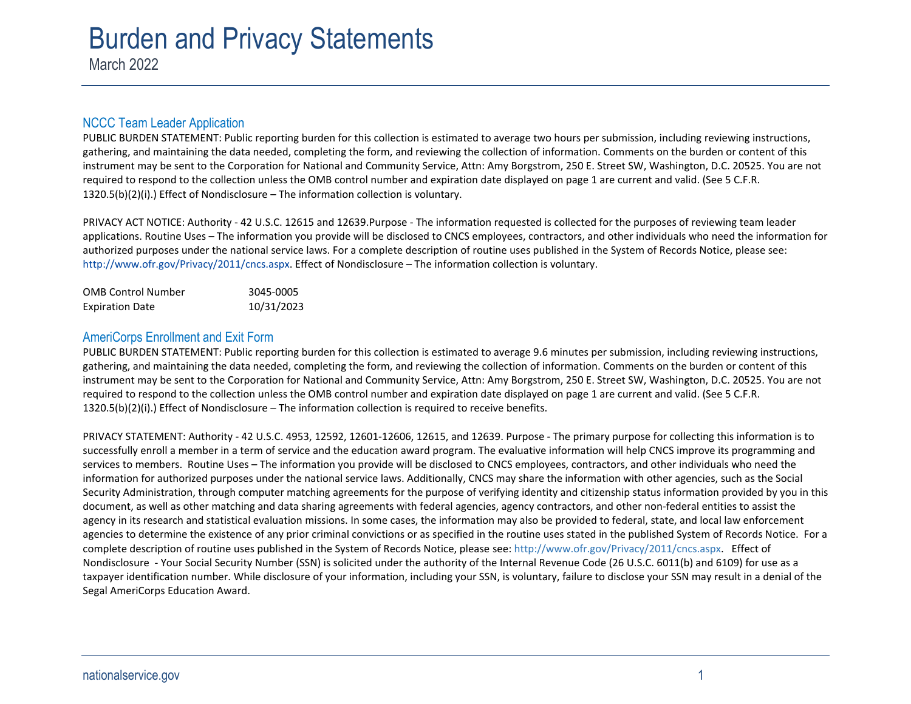# Burden and Privacy Statem ents

March 2022

## NCCC Team Leader Application

PUBLIC BURDEN STATEMENT: Public reporting burden for this collection is estimated to average two hours per submission, including reviewing instructions, gathering, and maintaining the data needed, completing the form, and reviewing the collection of information. Comments on the burden or content of this instrument may be sent to the Corporation for National and Community Service, Attn: Amy Borgstrom, 250 E. Street SW, Washington, D.C. 20525. You are not required to respond to the collection unless the OMB control number and expiration date displayed on page 1 are current and valid. (See 5 C.F.R. 1320.5(b)(2)(i).) Effect of Nondisclosure – The information collection is voluntary.

PRIVACY ACT NOTICE: Authority - 42 U.S.C. 12615 and 12639.Purpose - The information requested is collected for the purposes of reviewing team leader applications. Routine Uses – The information you provide will be disclosed to CNCS employees, contractors, and other individuals who need the information for authorized purposes under the national service laws. For a complete description of routine uses published in the System of Records Notice, please see: [http://www.ofr.gov/Privacy/2011/cncs.aspx.](http://www.ofr.gov/Privacy/2011/cncs.aspx) Effect of Nondisclosure – The information collection is voluntary.

| <b>OMB Control Number</b> | 3045-0005  |
|---------------------------|------------|
| <b>Expiration Date</b>    | 10/31/2023 |

# AmeriCorps Enrollment and Exit Form

PUBLIC BURDEN STATEMENT: Public reporting burden for this collection is estimated to average 9.6 minutes per submission, including reviewing instructions, gathering, and maintaining the data needed, completing the form, and reviewing the collection of information. Comments on the burden or content of this instrument may be sent to the Corporation for National and Community Service, Attn: Amy Borgstrom, 250 E. Street SW, Washington, D.C. 20525. You are not required to respond to the collection unless the OMB control number and expiration date displayed on page 1 are current and valid. (See 5 C.F.R. 1320.5(b)(2)(i).) Effect of Nondisclosure – The information collection is required to receive benefits.

PRIVACY STATEMENT: Authority - 42 U.S.C. 4953, 12592, 12601-12606, 12615, and 12639. Purpose - The primary purpose for collecting this information is to successfully enroll a member in a term of service and the education award program. The evaluative information will help CNCS improve its programming and services to members. Routine Uses – The information you provide will be disclosed to CNCS employees, contractors, and other individuals who need the information for authorized purposes under the national service laws. Additionally, CNCS may share the information with other agencies, such as the Social Security Administration, through computer matching agreements for the purpose of verifying identity and citizenship status information provided by you in this document, as well as other matching and data sharing agreements with federal agencies, agency contractors, and other non-federal entities to assist the agency in its research and statistical evaluation missions. In some cases, the information may also be provided to federal, state, and local law enforcement agencies to determine the existence of any prior criminal convictions or as specified in the routine uses stated in the published System of Records Notice. For a complete description of routine uses published in the System of Records Notice, please see: [http://www.ofr.gov/Privacy/2011/cncs.aspx.](http://www.ofr.gov/Privacy/2011/cncs.aspx) Effect of Nondisclosure - Your Social Security Number (SSN) is solicited under the authority of the Internal Revenue Code (26 U.S.C. 6011(b) and 6109) for use as a taxpayer identification number. While disclosure of your information, including your SSN, is voluntary, failure to disclose your SSN may result in a denial of the Segal AmeriCorps Education Award.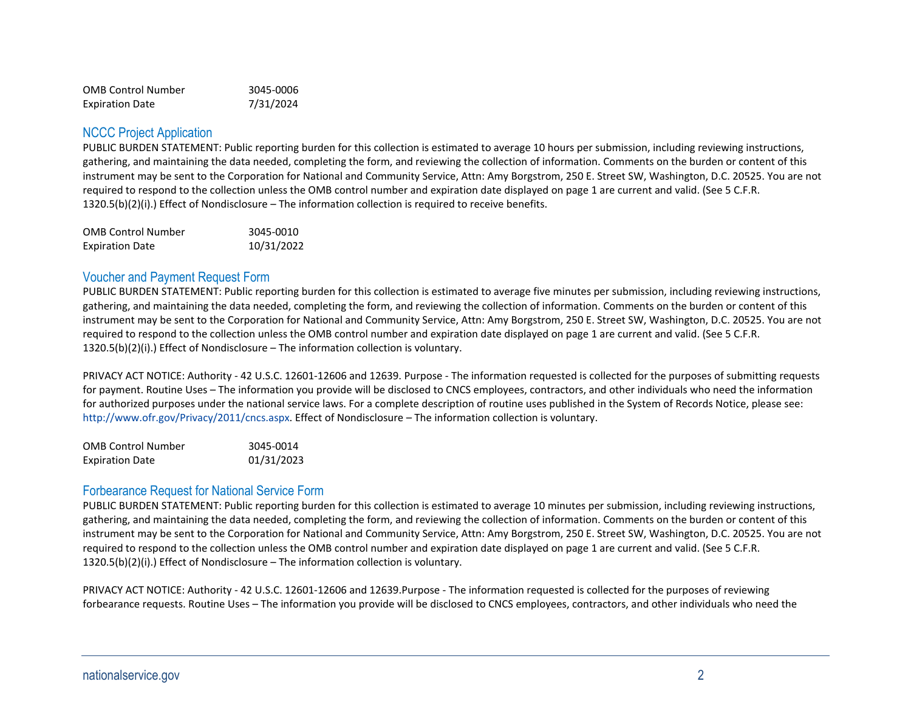| <b>OMB Control Number</b> | 3045-0006 |
|---------------------------|-----------|
| <b>Expiration Date</b>    | 7/31/2024 |

#### NCCC Project Application

PUBLIC BURDEN STATEMENT: Public reporting burden for this collection is estimated to average 10 hours per submission, including reviewing instructions, gathering, and maintaining the data needed, completing the form, and reviewing the collection of information. Comments on the burden or content of this instrument may be sent to the Corporation for National and Community Service, Attn: Amy Borgstrom, 250 E. Street SW, Washington, D.C. 20525. You are not required to respond to the collection unless the OMB control number and expiration date displayed on page 1 are current and valid. (See 5 C.F.R. 1320.5(b)(2)(i).) Effect of Nondisclosure – The information collection is required to receive benefits.

| <b>OMB Control Number</b> | 3045-0010  |
|---------------------------|------------|
| <b>Expiration Date</b>    | 10/31/2022 |

## Voucher and Payment Request Form

PUBLIC BURDEN STATEMENT: Public reporting burden for this collection is estimated to average five minutes per submission, including reviewing instructions, gathering, and maintaining the data needed, completing the form, and reviewing the collection of information. Comments on the burden or content of this instrument may be sent to the Corporation for National and Community Service, Attn: Amy Borgstrom, 250 E. Street SW, Washington, D.C. 20525. You are not required to respond to the collection unless the OMB control number and expiration date displayed on page 1 are current and valid. (See 5 C.F.R. 1320.5(b)(2)(i).) Effect of Nondisclosure – The information collection is voluntary.

PRIVACY ACT NOTICE: Authority - 42 U.S.C. 12601-12606 and 12639. Purpose - The information requested is collected for the purposes of submitting requests for payment. Routine Uses – The information you provide will be disclosed to CNCS employees, contractors, and other individuals who need the information for authorized purposes under the national service laws. For a complete description of routine uses published in the System of Records Notice, please see: [http://www.ofr.gov/Privacy/2011/cncs.aspx.](http://www.ofr.gov/Privacy/2011/cncs.aspx) Effect of Nondisclosure – The information collection is voluntary.

| <b>OMB Control Number</b> | 3045-0014  |
|---------------------------|------------|
| <b>Expiration Date</b>    | 01/31/2023 |

### Forbearance Request for National Service Form

PUBLIC BURDEN STATEMENT: Public reporting burden for this collection is estimated to average 10 minutes per submission, including reviewing instructions, gathering, and maintaining the data needed, completing the form, and reviewing the collection of information. Comments on the burden or content of this instrument may be sent to the Corporation for National and Community Service, Attn: Amy Borgstrom, 250 E. Street SW, Washington, D.C. 20525. You are not required to respond to the collection unless the OMB control number and expiration date displayed on page 1 are current and valid. (See 5 C.F.R. 1320.5(b)(2)(i).) Effect of Nondisclosure – The information collection is voluntary.

PRIVACY ACT NOTICE: Authority - 42 U.S.C. 12601-12606 and 12639.Purpose - The information requested is collected for the purposes of reviewing forbearance requests. Routine Uses – The information you provide will be disclosed to CNCS employees, contractors, and other individuals who need the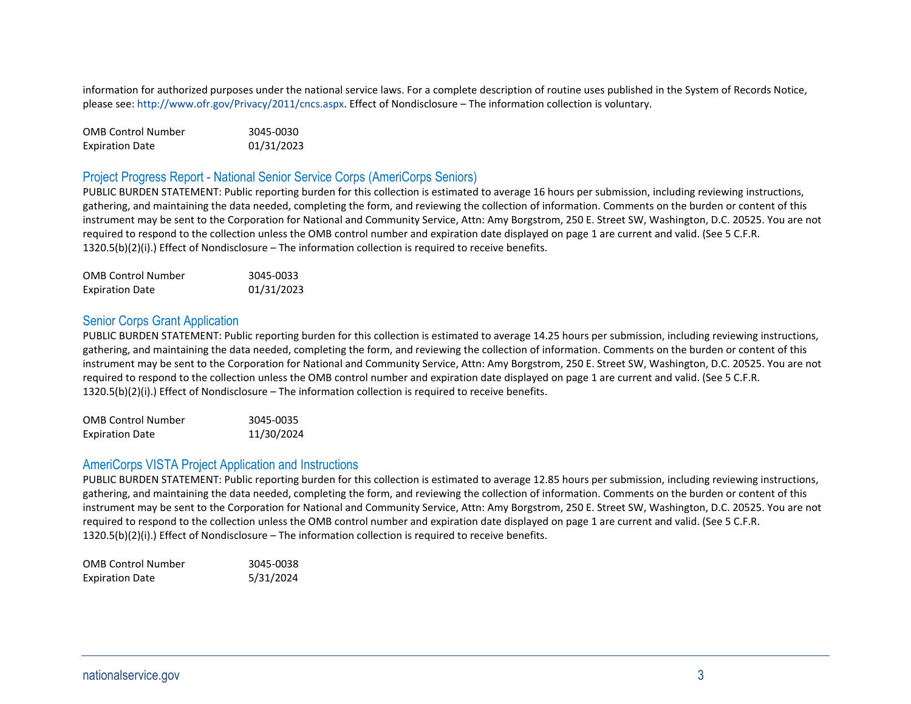information for authorized purposes under the national service laws. For a complete description of routine uses published in the System of Records Notice, please see[: http://www.ofr.gov/Privacy/2011/cncs.aspx.](http://www.ofr.gov/Privacy/2011/cncs.aspx) Effect of Nondisclosure – The information collection is voluntary.

| <b>OMB Control Number</b> | 3045-0030  |
|---------------------------|------------|
| <b>Expiration Date</b>    | 01/31/2023 |

# Project Progress Report - National Senior Service Corps (AmeriCorps Seniors)

PUBLIC BURDEN STATEMENT: Public reporting burden for this collection is estimated to average 16 hours per submission, including reviewing instructions, gathering, and maintaining the data needed, completing the form, and reviewing the collection of information. Comments on the burden or content of this instrument may be sent to the Corporation for National and Community Service, Attn: Amy Borgstrom, 250 E. Street SW, Washington, D.C. 20525. You are not required to respond to the collection unless the OMB control number and expiration date displayed on page 1 are current and valid. (See 5 C.F.R. 1320.5(b)(2)(i).) Effect of Nondisclosure – The information collection is required to receive benefits.

| <b>OMB Control Number</b> | 3045-0033  |
|---------------------------|------------|
| <b>Expiration Date</b>    | 01/31/2023 |

# Senior Corps Grant Application

PUBLIC BURDEN STATEMENT: Public reporting burden for this collection is estimated to average 14.25 hours per submission, including reviewing instructions, gathering, and maintaining the data needed, completing the form, and reviewing the collection of information. Comments on the burden or content of this instrument may be sent to the Corporation for National and Community Service, Attn: Amy Borgstrom, 250 E. Street SW, Washington, D.C. 20525. You are not required to respond to the collection unless the OMB control number and expiration date displayed on page 1 are current and valid. (See 5 C.F.R. 1320.5(b)(2)(i).) Effect of Nondisclosure – The information collection is required to receive benefits.

| <b>OMB Control Number</b> | 3045-0035  |
|---------------------------|------------|
| <b>Expiration Date</b>    | 11/30/2024 |

### AmeriCorps VISTA Project Application and Instructions

PUBLIC BURDEN STATEMENT: Public reporting burden for this collection is estimated to average 12.85 hours per submission, including reviewing instructions, gathering, and maintaining the data needed, completing the form, and reviewing the collection of information. Comments on the burden or content of this instrument may be sent to the Corporation for National and Community Service, Attn: Amy Borgstrom, 250 E. Street SW, Washington, D.C. 20525. You are not required to respond to the collection unless the OMB control number and expiration date displayed on page 1 are current and valid. (See 5 C.F.R. 1320.5(b)(2)(i).) Effect of Nondisclosure – The information collection is required to receive benefits.

| <b>OMB Control Number</b> | 3045-0038 |
|---------------------------|-----------|
| <b>Expiration Date</b>    | 5/31/2024 |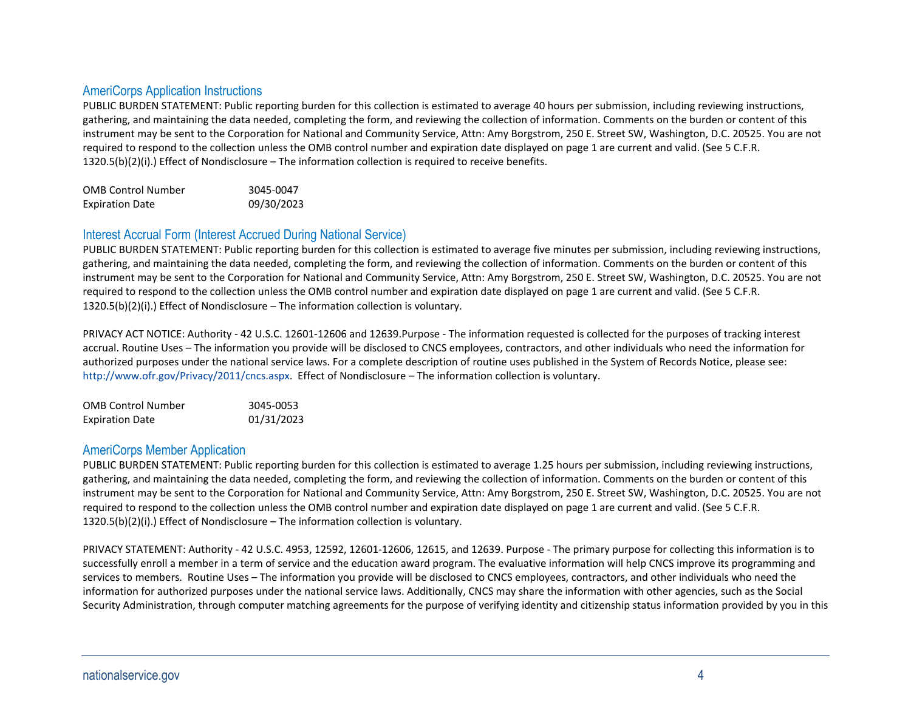# AmeriCorps Application Instructions

PUBLIC BURDEN STATEMENT: Public reporting burden for this collection is estimated to average 40 hours per submission, including reviewing instructions, gathering, and maintaining the data needed, completing the form, and reviewing the collection of information. Comments on the burden or content of this instrument may be sent to the Corporation for National and Community Service, Attn: Amy Borgstrom, 250 E. Street SW, Washington, D.C. 20525. You are not required to respond to the collection unless the OMB control number and expiration date displayed on page 1 are current and valid. (See 5 C.F.R. 1320.5(b)(2)(i).) Effect of Nondisclosure – The information collection is required to receive benefits.

| <b>OMB Control Number</b> | 3045-0047  |
|---------------------------|------------|
| <b>Expiration Date</b>    | 09/30/2023 |

## Interest Accrual Form (Interest Accrued During National Service)

PUBLIC BURDEN STATEMENT: Public reporting burden for this collection is estimated to average five minutes per submission, including reviewing instructions, gathering, and maintaining the data needed, completing the form, and reviewing the collection of information. Comments on the burden or content of this instrument may be sent to the Corporation for National and Community Service, Attn: Amy Borgstrom, 250 E. Street SW, Washington, D.C. 20525. You are not required to respond to the collection unless the OMB control number and expiration date displayed on page 1 are current and valid. (See 5 C.F.R. 1320.5(b)(2)(i).) Effect of Nondisclosure – The information collection is voluntary.

PRIVACY ACT NOTICE: Authority - 42 U.S.C. 12601-12606 and 12639.Purpose - The information requested is collected for the purposes of tracking interest accrual. Routine Uses – The information you provide will be disclosed to CNCS employees, contractors, and other individuals who need the information for authorized purposes under the national service laws. For a complete description of routine uses published in the System of Records Notice, please see: [http://www.ofr.gov/Privacy/2011/cncs.aspx.](http://www.ofr.gov/Privacy/2011/cncs.aspx) Effect of Nondisclosure – The information collection is voluntary.

| <b>OMB Control Number</b> | 3045-0053  |
|---------------------------|------------|
| <b>Expiration Date</b>    | 01/31/2023 |

### AmeriCorps Member Application

PUBLIC BURDEN STATEMENT: Public reporting burden for this collection is estimated to average 1.25 hours per submission, including reviewing instructions, gathering, and maintaining the data needed, completing the form, and reviewing the collection of information. Comments on the burden or content of this instrument may be sent to the Corporation for National and Community Service, Attn: Amy Borgstrom, 250 E. Street SW, Washington, D.C. 20525. You are not required to respond to the collection unless the OMB control number and expiration date displayed on page 1 are current and valid. (See 5 C.F.R. 1320.5(b)(2)(i).) Effect of Nondisclosure – The information collection is voluntary.

PRIVACY STATEMENT: Authority - 42 U.S.C. 4953, 12592, 12601-12606, 12615, and 12639. Purpose - The primary purpose for collecting this information is to successfully enroll a member in a term of service and the education award program. The evaluative information will help CNCS improve its programming and services to members. Routine Uses – The information you provide will be disclosed to CNCS employees, contractors, and other individuals who need the information for authorized purposes under the national service laws. Additionally, CNCS may share the information with other agencies, such as the Social Security Administration, through computer matching agreements for the purpose of verifying identity and citizenship status information provided by you in this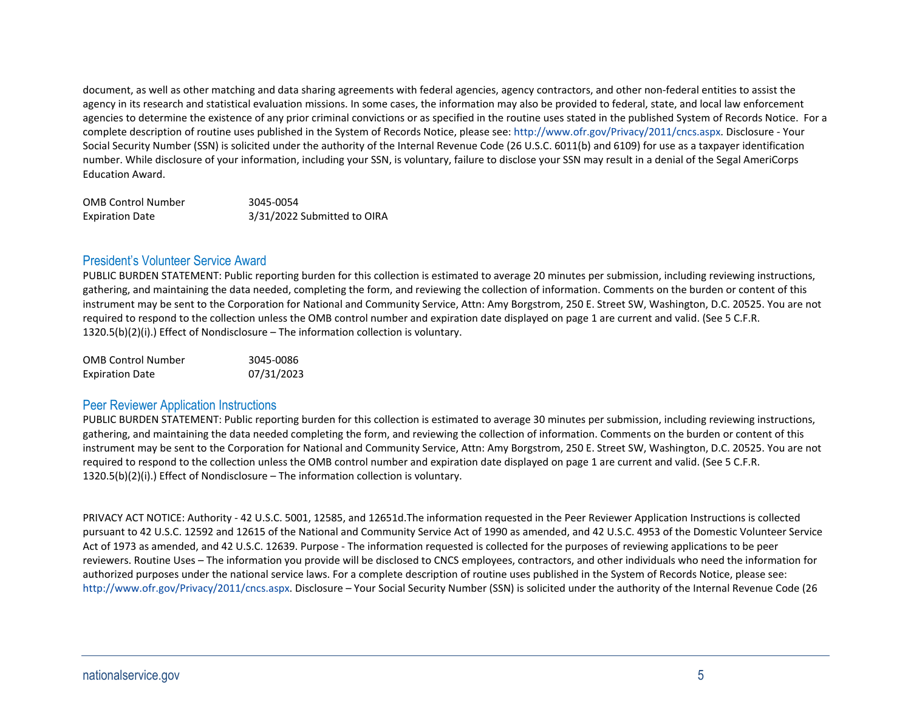document, as well as other matching and data sharing agreements with federal agencies, agency contractors, and other non-federal entities to assist the agency in its research and statistical evaluation missions. In some cases, the information may also be provided to federal, state, and local law enforcement agencies to determine the existence of any prior criminal convictions or as specified in the routine uses stated in the published System of Records Notice. For a complete description of routine uses published in the System of Records Notice, please see[: http://www.ofr.gov/Privacy/2011/cncs.aspx.](http://www.ofr.gov/Privacy/2011/cncs.aspx) Disclosure - Your Social Security Number (SSN) is solicited under the authority of the Internal Revenue Code (26 U.S.C. 6011(b) and 6109) for use as a taxpayer identification number. While disclosure of your information, including your SSN, is voluntary, failure to disclose your SSN may result in a denial of the Segal AmeriCorps Education Award.

| <b>OMB Control Number</b> | 3045-0054                   |
|---------------------------|-----------------------------|
| <b>Expiration Date</b>    | 3/31/2022 Submitted to OIRA |

### President's Volunteer Service Award

PUBLIC BURDEN STATEMENT: Public reporting burden for this collection is estimated to average 20 minutes per submission, including reviewing instructions, gathering, and maintaining the data needed, completing the form, and reviewing the collection of information. Comments on the burden or content of this instrument may be sent to the Corporation for National and Community Service, Attn: Amy Borgstrom, 250 E. Street SW, Washington, D.C. 20525. You are not required to respond to the collection unless the OMB control number and expiration date displayed on page 1 are current and valid. (See 5 C.F.R. 1320.5(b)(2)(i).) Effect of Nondisclosure – The information collection is voluntary.

| <b>OMB Control Number</b> | 3045-0086  |
|---------------------------|------------|
| <b>Expiration Date</b>    | 07/31/2023 |

### Peer Reviewer Application Instructions

PUBLIC BURDEN STATEMENT: Public reporting burden for this collection is estimated to average 30 minutes per submission, including reviewing instructions, gathering, and maintaining the data needed completing the form, and reviewing the collection of information. Comments on the burden or content of this instrument may be sent to the Corporation for National and Community Service, Attn: Amy Borgstrom, 250 E. Street SW, Washington, D.C. 20525. You are not required to respond to the collection unless the OMB control number and expiration date displayed on page 1 are current and valid. (See 5 C.F.R. 1320.5(b)(2)(i).) Effect of Nondisclosure – The information collection is voluntary.

PRIVACY ACT NOTICE: Authority - 42 U.S.C. 5001, 12585, and 12651d.The information requested in the Peer Reviewer Application Instructions is collected pursuant to 42 U.S.C. 12592 and 12615 of the National and Community Service Act of 1990 as amended, and 42 U.S.C. 4953 of the Domestic Volunteer Service Act of 1973 as amended, and 42 U.S.C. 12639. Purpose - The information requested is collected for the purposes of reviewing applications to be peer reviewers. Routine Uses – The information you provide will be disclosed to CNCS employees, contractors, and other individuals who need the information for authorized purposes under the national service laws. For a complete description of routine uses published in the System of Records Notice, please see: [http://www.ofr.gov/Privacy/2011/cncs.aspx.](http://www.ofr.gov/Privacy/2011/cncs.aspx) Disclosure – Your Social Security Number (SSN) is solicited under the authority of the Internal Revenue Code (26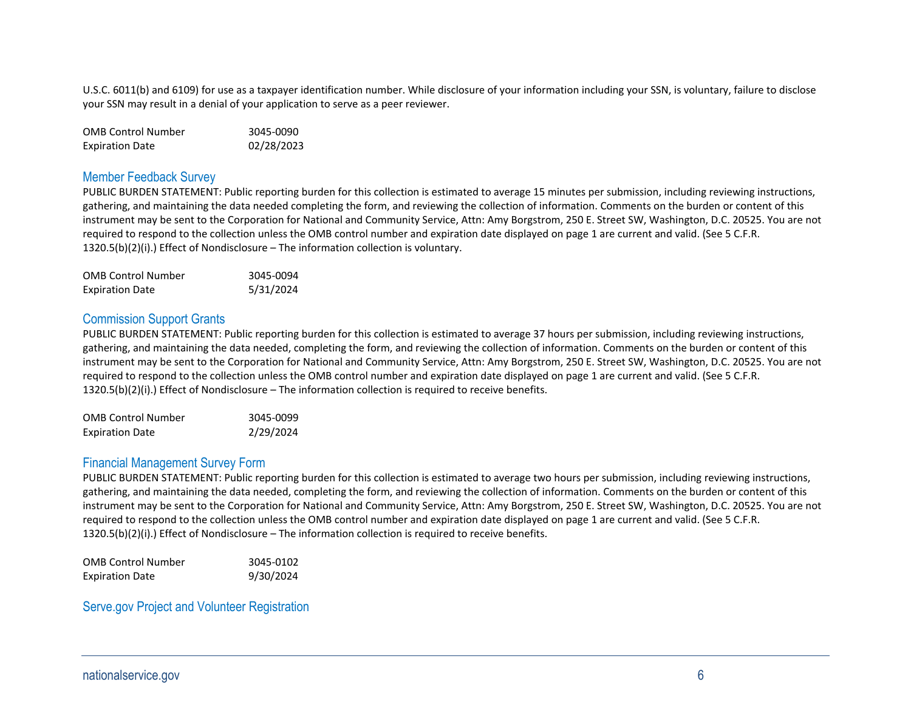U.S.C. 6011(b) and 6109) for use as a taxpayer identification number. While disclosure of your information including your SSN, is voluntary, failure to disclose your SSN may result in a denial of your application to serve as a peer reviewer.

| <b>OMB Control Number</b> | 3045-0090  |
|---------------------------|------------|
| <b>Expiration Date</b>    | 02/28/2023 |

#### Member Feedback Survey

PUBLIC BURDEN STATEMENT: Public reporting burden for this collection is estimated to average 15 minutes per submission, including reviewing instructions, gathering, and maintaining the data needed completing the form, and reviewing the collection of information. Comments on the burden or content of this instrument may be sent to the Corporation for National and Community Service, Attn: Amy Borgstrom, 250 E. Street SW, Washington, D.C. 20525. You are not required to respond to the collection unless the OMB control number and expiration date displayed on page 1 are current and valid. (See 5 C.F.R. 1320.5(b)(2)(i).) Effect of Nondisclosure – The information collection is voluntary.

| <b>OMB Control Number</b> | 3045-0094 |
|---------------------------|-----------|
| <b>Expiration Date</b>    | 5/31/2024 |

#### Commission Support Grants

PUBLIC BURDEN STATEMENT: Public reporting burden for this collection is estimated to average 37 hours per submission, including reviewing instructions, gathering, and maintaining the data needed, completing the form, and reviewing the collection of information. Comments on the burden or content of this instrument may be sent to the Corporation for National and Community Service, Attn: Amy Borgstrom, 250 E. Street SW, Washington, D.C. 20525. You are not required to respond to the collection unless the OMB control number and expiration date displayed on page 1 are current and valid. (See 5 C.F.R. 1320.5(b)(2)(i).) Effect of Nondisclosure – The information collection is required to receive benefits.

| <b>OMB Control Number</b> | 3045-0099 |
|---------------------------|-----------|
| <b>Expiration Date</b>    | 2/29/2024 |

### Financial Management Survey Form

PUBLIC BURDEN STATEMENT: Public reporting burden for this collection is estimated to average two hours per submission, including reviewing instructions, gathering, and maintaining the data needed, completing the form, and reviewing the collection of information. Comments on the burden or content of this instrument may be sent to the Corporation for National and Community Service, Attn: Amy Borgstrom, 250 E. Street SW, Washington, D.C. 20525. You are not required to respond to the collection unless the OMB control number and expiration date displayed on page 1 are current and valid. (See 5 C.F.R. 1320.5(b)(2)(i).) Effect of Nondisclosure – The information collection is required to receive benefits.

| <b>OMB Control Number</b> | 3045-0102 |
|---------------------------|-----------|
| <b>Expiration Date</b>    | 9/30/2024 |

Serve.gov Project and Volunteer Registration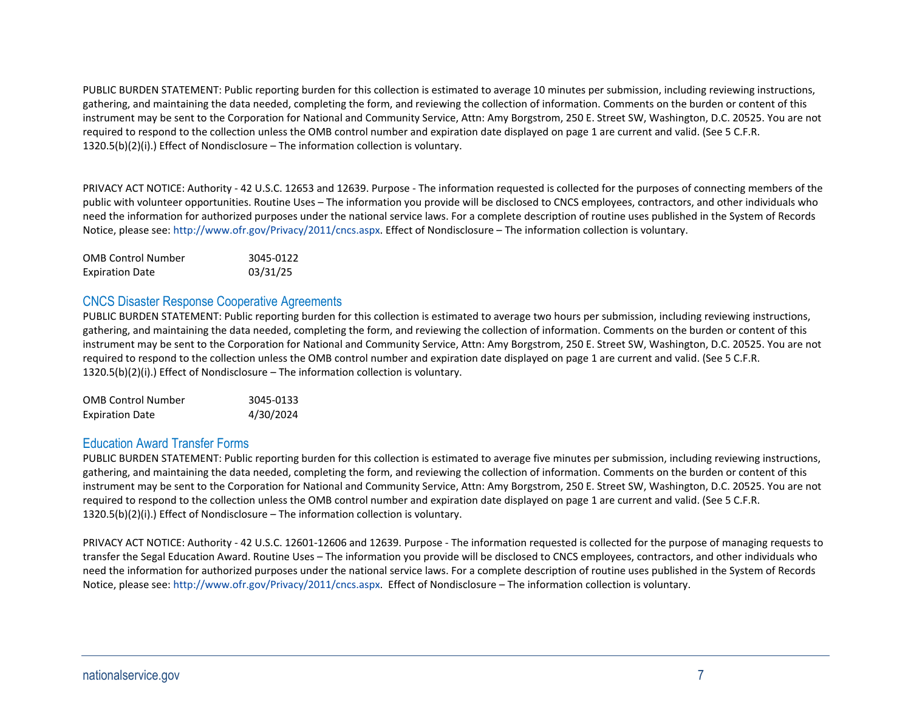PUBLIC BURDEN STATEMENT: Public reporting burden for this collection is estimated to average 10 minutes per submission, including reviewing instructions, gathering, and maintaining the data needed, completing the form, and reviewing the collection of information. Comments on the burden or content of this instrument may be sent to the Corporation for National and Community Service, Attn: Amy Borgstrom, 250 E. Street SW, Washington, D.C. 20525. You are not required to respond to the collection unless the OMB control number and expiration date displayed on page 1 are current and valid. (See 5 C.F.R. 1320.5(b)(2)(i).) Effect of Nondisclosure – The information collection is voluntary.

PRIVACY ACT NOTICE: Authority - 42 U.S.C. 12653 and 12639. Purpose - The information requested is collected for the purposes of connecting members of the public with volunteer opportunities. Routine Uses – The information you provide will be disclosed to CNCS employees, contractors, and other individuals who need the information for authorized purposes under the national service laws. For a complete description of routine uses published in the System of Records Notice, please see[: http://www.ofr.gov/Privacy/2011/cncs.aspx.](http://www.ofr.gov/Privacy/2011/cncs.aspx) Effect of Nondisclosure – The information collection is voluntary.

| <b>OMB Control Number</b> | 3045-0122 |
|---------------------------|-----------|
| <b>Expiration Date</b>    | 03/31/25  |

## CNCS Disaster Response Cooperative Agreements

PUBLIC BURDEN STATEMENT: Public reporting burden for this collection is estimated to average two hours per submission, including reviewing instructions, gathering, and maintaining the data needed, completing the form, and reviewing the collection of information. Comments on the burden or content of this instrument may be sent to the Corporation for National and Community Service, Attn: Amy Borgstrom, 250 E. Street SW, Washington, D.C. 20525. You are not required to respond to the collection unless the OMB control number and expiration date displayed on page 1 are current and valid. (See 5 C.F.R.  $1320.5(b)(2)(i)$ . Effect of Nondisclosure – The information collection is voluntary.

| <b>OMB Control Number</b> | 3045-0133 |
|---------------------------|-----------|
| <b>Expiration Date</b>    | 4/30/2024 |

## Education Award Transfer Forms

PUBLIC BURDEN STATEMENT: Public reporting burden for this collection is estimated to average five minutes per submission, including reviewing instructions, gathering, and maintaining the data needed, completing the form, and reviewing the collection of information. Comments on the burden or content of this instrument may be sent to the Corporation for National and Community Service, Attn: Amy Borgstrom, 250 E. Street SW, Washington, D.C. 20525. You are not required to respond to the collection unless the OMB control number and expiration date displayed on page 1 are current and valid. (See 5 C.F.R. 1320.5(b)(2)(i).) Effect of Nondisclosure – The information collection is voluntary.

PRIVACY ACT NOTICE: Authority - 42 U.S.C. 12601-12606 and 12639. Purpose - The information requested is collected for the purpose of managing requests to transfer the Segal Education Award. Routine Uses – The information you provide will be disclosed to CNCS employees, contractors, and other individuals who need the information for authorized purposes under the national service laws. For a complete description of routine uses published in the System of Records Notice, please see[: http://www.ofr.gov/Privacy/2011/cncs.aspx.](http://www.ofr.gov/Privacy/2011/cncs.aspx) Effect of Nondisclosure – The information collection is voluntary.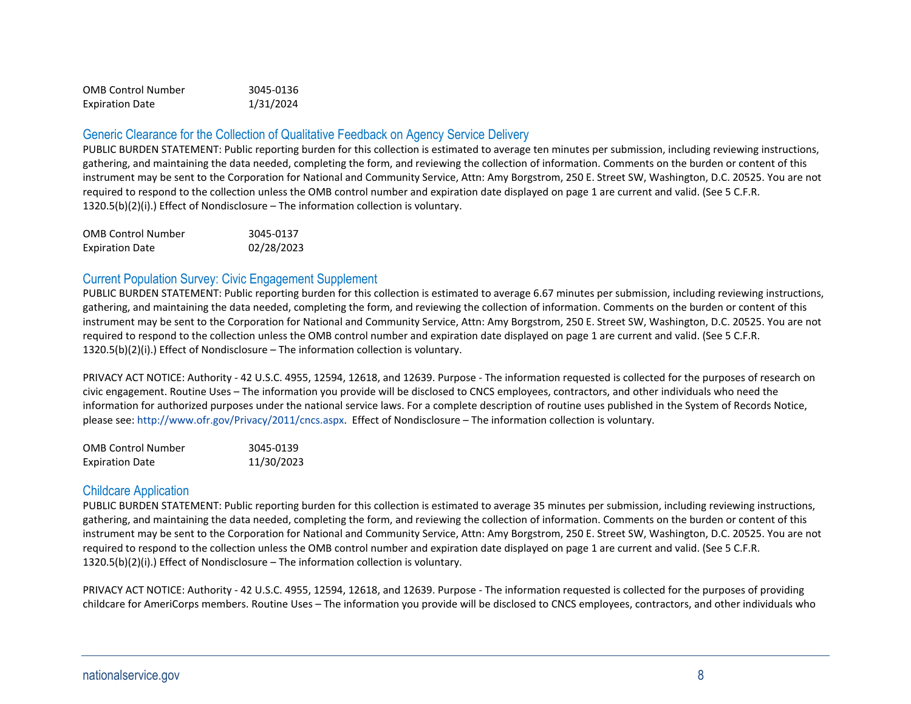| <b>OMB Control Number</b> | 3045-0136 |
|---------------------------|-----------|
| <b>Expiration Date</b>    | 1/31/2024 |

## Generic Clearance for the Collection of Qualitative Feedback on Agency Service Delivery

PUBLIC BURDEN STATEMENT: Public reporting burden for this collection is estimated to average ten minutes per submission, including reviewing instructions, gathering, and maintaining the data needed, completing the form, and reviewing the collection of information. Comments on the burden or content of this instrument may be sent to the Corporation for National and Community Service, Attn: Amy Borgstrom, 250 E. Street SW, Washington, D.C. 20525. You are not required to respond to the collection unless the OMB control number and expiration date displayed on page 1 are current and valid. (See 5 C.F.R. 1320.5(b)(2)(i).) Effect of Nondisclosure – The information collection is voluntary.

| <b>OMB Control Number</b> | 3045-0137  |
|---------------------------|------------|
| <b>Expiration Date</b>    | 02/28/2023 |

## Current Population Survey: Civic Engagement Supplement

PUBLIC BURDEN STATEMENT: Public reporting burden for this collection is estimated to average 6.67 minutes per submission, including reviewing instructions, gathering, and maintaining the data needed, completing the form, and reviewing the collection of information. Comments on the burden or content of this instrument may be sent to the Corporation for National and Community Service, Attn: Amy Borgstrom, 250 E. Street SW, Washington, D.C. 20525. You are not required to respond to the collection unless the OMB control number and expiration date displayed on page 1 are current and valid. (See 5 C.F.R. 1320.5(b)(2)(i).) Effect of Nondisclosure – The information collection is voluntary.

PRIVACY ACT NOTICE: Authority - 42 U.S.C. 4955, 12594, 12618, and 12639. Purpose - The information requested is collected for the purposes of research on civic engagement. Routine Uses – The information you provide will be disclosed to CNCS employees, contractors, and other individuals who need the information for authorized purposes under the national service laws. For a complete description of routine uses published in the System of Records Notice, please see[: http://www.ofr.gov/Privacy/2011/cncs.aspx.](http://www.ofr.gov/Privacy/2011/cncs.aspx) Effect of Nondisclosure – The information collection is voluntary.

| <b>OMB Control Number</b> | 3045-0139  |
|---------------------------|------------|
| <b>Expiration Date</b>    | 11/30/2023 |

### Childcare Application

PUBLIC BURDEN STATEMENT: Public reporting burden for this collection is estimated to average 35 minutes per submission, including reviewing instructions, gathering, and maintaining the data needed, completing the form, and reviewing the collection of information. Comments on the burden or content of this instrument may be sent to the Corporation for National and Community Service, Attn: Amy Borgstrom, 250 E. Street SW, Washington, D.C. 20525. You are not required to respond to the collection unless the OMB control number and expiration date displayed on page 1 are current and valid. (See 5 C.F.R. 1320.5(b)(2)(i).) Effect of Nondisclosure – The information collection is voluntary.

PRIVACY ACT NOTICE: Authority - 42 U.S.C. 4955, 12594, 12618, and 12639. Purpose - The information requested is collected for the purposes of providing childcare for AmeriCorps members. Routine Uses – The information you provide will be disclosed to CNCS employees, contractors, and other individuals who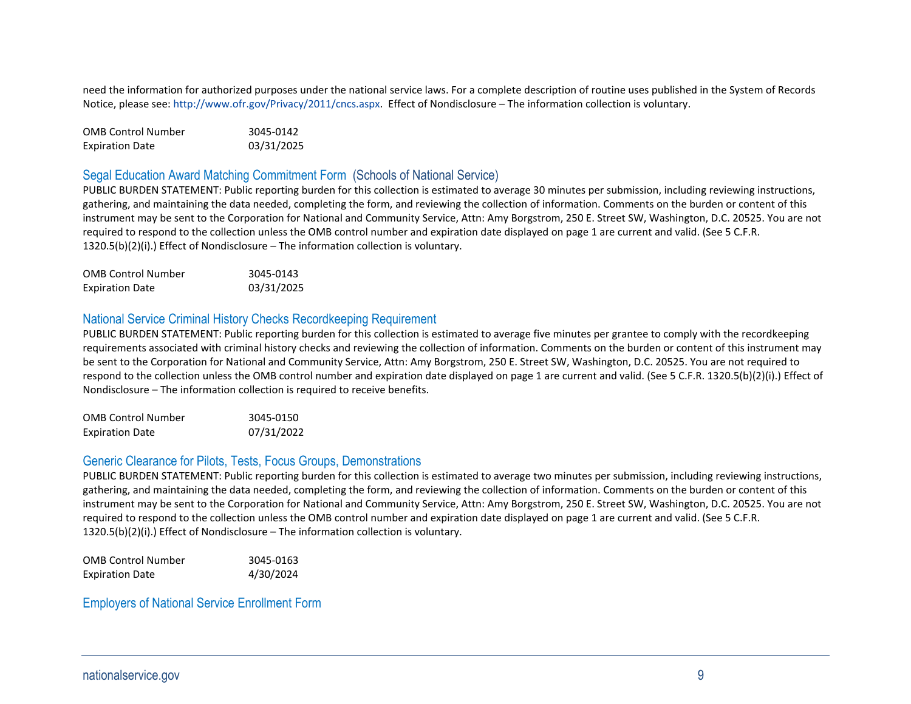need the information for authorized purposes under the national service laws. For a complete description of routine uses published in the System of Records Notice, please see[: http://www.ofr.gov/Privacy/2011/cncs.aspx.](http://www.ofr.gov/Privacy/2011/cncs.aspx) Effect of Nondisclosure – The information collection is voluntary.

OMB Control Number 3045-0142 Expiration Date 03/31/2025

## Segal Education Award Matching Commitment Form (Schools of National Service)

PUBLIC BURDEN STATEMENT: Public reporting burden for this collection is estimated to average 30 minutes per submission, including reviewing instructions, gathering, and maintaining the data needed, completing the form, and reviewing the collection of information. Comments on the burden or content of this instrument may be sent to the Corporation for National and Community Service, Attn: Amy Borgstrom, 250 E. Street SW, Washington, D.C. 20525. You are not required to respond to the collection unless the OMB control number and expiration date displayed on page 1 are current and valid. (See 5 C.F.R. 1320.5(b)(2)(i).) Effect of Nondisclosure – The information collection is voluntary.

| <b>OMB Control Number</b> | 3045-0143  |
|---------------------------|------------|
| <b>Expiration Date</b>    | 03/31/2025 |

#### National Service Criminal History Checks Recordkeeping Requirement

PUBLIC BURDEN STATEMENT: Public reporting burden for this collection is estimated to average five minutes per grantee to comply with the recordkeeping requirements associated with criminal history checks and reviewing the collection of information. Comments on the burden or content of this instrument may be sent to the Corporation for National and Community Service, Attn: Amy Borgstrom, 250 E. Street SW, Washington, D.C. 20525. You are not required to respond to the collection unless the OMB control number and expiration date displayed on page 1 are current and valid. (See 5 C.F.R. 1320.5(b)(2)(i).) Effect of Nondisclosure – The information collection is required to receive benefits.

| <b>OMB Control Number</b> | 3045-0150  |
|---------------------------|------------|
| <b>Expiration Date</b>    | 07/31/2022 |

#### Generic Clearance for Pilots, Tests, Focus Groups, Demonstrations

PUBLIC BURDEN STATEMENT: Public reporting burden for this collection is estimated to average two minutes per submission, including reviewing instructions, gathering, and maintaining the data needed, completing the form, and reviewing the collection of information. Comments on the burden or content of this instrument may be sent to the Corporation for National and Community Service, Attn: Amy Borgstrom, 250 E. Street SW, Washington, D.C. 20525. You are not required to respond to the collection unless the OMB control number and expiration date displayed on page 1 are current and valid. (See 5 C.F.R. 1320.5(b)(2)(i).) Effect of Nondisclosure – The information collection is voluntary.

| <b>OMB Control Number</b> | 3045-0163 |
|---------------------------|-----------|
| <b>Expiration Date</b>    | 4/30/2024 |

### Employers of National Service Enrollment Form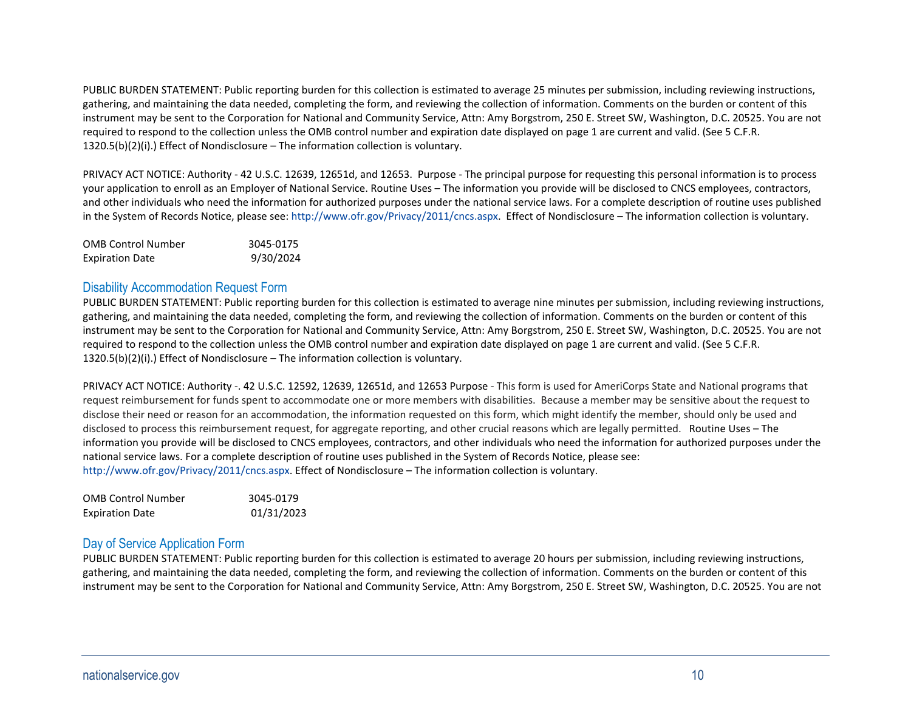PUBLIC BURDEN STATEMENT: Public reporting burden for this collection is estimated to average 25 minutes per submission, including reviewing instructions, gathering, and maintaining the data needed, completing the form, and reviewing the collection of information. Comments on the burden or content of this instrument may be sent to the Corporation for National and Community Service, Attn: Amy Borgstrom, 250 E. Street SW, Washington, D.C. 20525. You are not required to respond to the collection unless the OMB control number and expiration date displayed on page 1 are current and valid. (See 5 C.F.R. 1320.5(b)(2)(i).) Effect of Nondisclosure – The information collection is voluntary.

PRIVACY ACT NOTICE: Authority - 42 U.S.C. 12639, 12651d, and 12653. Purpose - The principal purpose for requesting this personal information is to process your application to enroll as an Employer of National Service. Routine Uses – The information you provide will be disclosed to CNCS employees, contractors, and other individuals who need the information for authorized purposes under the national service laws. For a complete description of routine uses published in the System of Records Notice, please see[: http://www.ofr.gov/Privacy/2011/cncs.aspx.](http://www.ofr.gov/Privacy/2011/cncs.aspx) Effect of Nondisclosure – The information collection is voluntary.

| <b>OMB Control Number</b> | 3045-0175 |
|---------------------------|-----------|
| <b>Expiration Date</b>    | 9/30/2024 |

### Disability Accommodation Request Form

PUBLIC BURDEN STATEMENT: Public reporting burden for this collection is estimated to average nine minutes per submission, including reviewing instructions, gathering, and maintaining the data needed, completing the form, and reviewing the collection of information. Comments on the burden or content of this instrument may be sent to the Corporation for National and Community Service, Attn: Amy Borgstrom, 250 E. Street SW, Washington, D.C. 20525. You are not required to respond to the collection unless the OMB control number and expiration date displayed on page 1 are current and valid. (See 5 C.F.R. 1320.5(b)(2)(i).) Effect of Nondisclosure – The information collection is voluntary.

PRIVACY ACT NOTICE: Authority -. 42 U.S.C. 12592, 12639, 12651d, and 12653 Purpose - This form is used for AmeriCorps State and National programs that request reimbursement for funds spent to accommodate one or more members with disabilities. Because a member may be sensitive about the request to disclose their need or reason for an accommodation, the information requested on this form, which might identify the member, should only be used and disclosed to process this reimbursement request, for aggregate reporting, and other crucial reasons which are legally permitted. Routine Uses – The information you provide will be disclosed to CNCS employees, contractors, and other individuals who need the information for authorized purposes under the national service laws. For a complete description of routine uses published in the System of Records Notice, please see: [http://www.ofr.gov/Privacy/2011/cncs.aspx.](http://www.ofr.gov/Privacy/2011/cncs.aspx) Effect of Nondisclosure – The information collection is voluntary.

| <b>OMB Control Number</b> | 3045-0179  |
|---------------------------|------------|
| <b>Expiration Date</b>    | 01/31/2023 |

### Day of Service Application Form

PUBLIC BURDEN STATEMENT: Public reporting burden for this collection is estimated to average 20 hours per submission, including reviewing instructions, gathering, and maintaining the data needed, completing the form, and reviewing the collection of information. Comments on the burden or content of this instrument may be sent to the Corporation for National and Community Service, Attn: Amy Borgstrom, 250 E. Street SW, Washington, D.C. 20525. You are not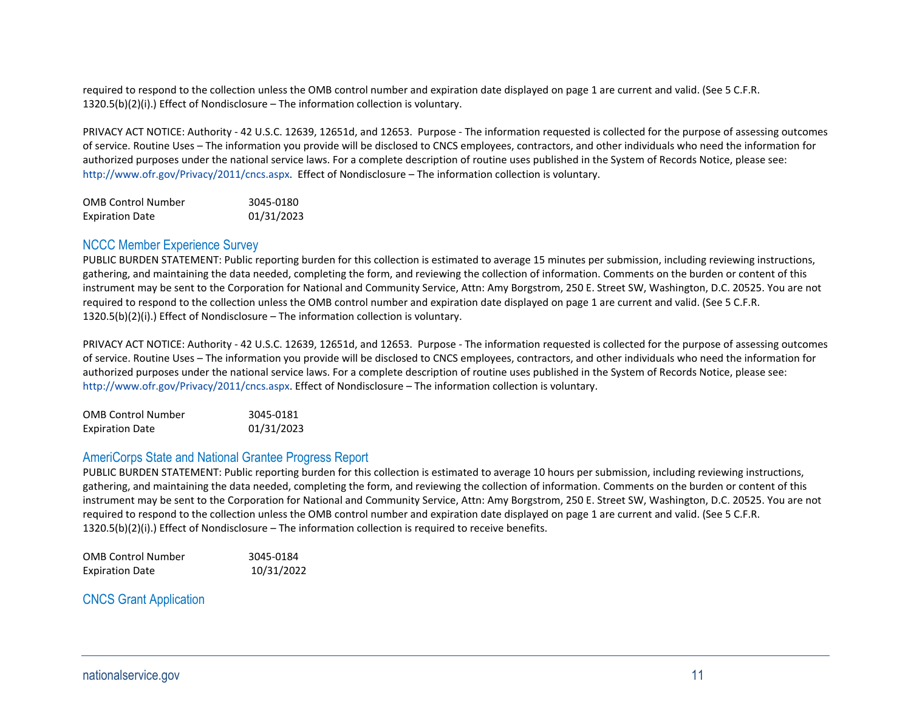required to respond to the collection unless the OMB control number and expiration date displayed on page 1 are current and valid. (See 5 C.F.R. 1320.5(b)(2)(i).) Effect of Nondisclosure – The information collection is voluntary.

PRIVACY ACT NOTICE: Authority - 42 U.S.C. 12639, 12651d, and 12653. Purpose - The information requested is collected for the purpose of assessing outcomes of service. Routine Uses – The information you provide will be disclosed to CNCS employees, contractors, and other individuals who need the information for authorized purposes under the national service laws. For a complete description of routine uses published in the System of Records Notice, please see: [http://www.ofr.gov/Privacy/2011/cncs.aspx.](http://www.ofr.gov/Privacy/2011/cncs.aspx) Effect of Nondisclosure – The information collection is voluntary.

| <b>OMB Control Number</b> | 3045-0180  |
|---------------------------|------------|
| <b>Expiration Date</b>    | 01/31/2023 |

#### NCCC Member Experience Survey

PUBLIC BURDEN STATEMENT: Public reporting burden for this collection is estimated to average 15 minutes per submission, including reviewing instructions, gathering, and maintaining the data needed, completing the form, and reviewing the collection of information. Comments on the burden or content of this instrument may be sent to the Corporation for National and Community Service, Attn: Amy Borgstrom, 250 E. Street SW, Washington, D.C. 20525. You are not required to respond to the collection unless the OMB control number and expiration date displayed on page 1 are current and valid. (See 5 C.F.R.  $1320.5(b)(2)(i)$ .) Effect of Nondisclosure – The information collection is voluntary.

PRIVACY ACT NOTICE: Authority - 42 U.S.C. 12639, 12651d, and 12653. Purpose - The information requested is collected for the purpose of assessing outcomes of service. Routine Uses – The information you provide will be disclosed to CNCS employees, contractors, and other individuals who need the information for authorized purposes under the national service laws. For a complete description of routine uses published in the System of Records Notice, please see: [http://www.ofr.gov/Privacy/2011/cncs.aspx.](http://www.ofr.gov/Privacy/2011/cncs.aspx) Effect of Nondisclosure – The information collection is voluntary.

| <b>OMB Control Number</b> | 3045-0181  |
|---------------------------|------------|
| <b>Expiration Date</b>    | 01/31/2023 |

#### AmeriCorps State and National Grantee Progress Report

PUBLIC BURDEN STATEMENT: Public reporting burden for this collection is estimated to average 10 hours per submission, including reviewing instructions, gathering, and maintaining the data needed, completing the form, and reviewing the collection of information. Comments on the burden or content of this instrument may be sent to the Corporation for National and Community Service, Attn: Amy Borgstrom, 250 E. Street SW, Washington, D.C. 20525. You are not required to respond to the collection unless the OMB control number and expiration date displayed on page 1 are current and valid. (See 5 C.F.R. 1320.5(b)(2)(i).) Effect of Nondisclosure – The information collection is required to receive benefits.

| <b>OMB Control Number</b> | 3045-0184  |
|---------------------------|------------|
| <b>Expiration Date</b>    | 10/31/2022 |

CNCS Grant Application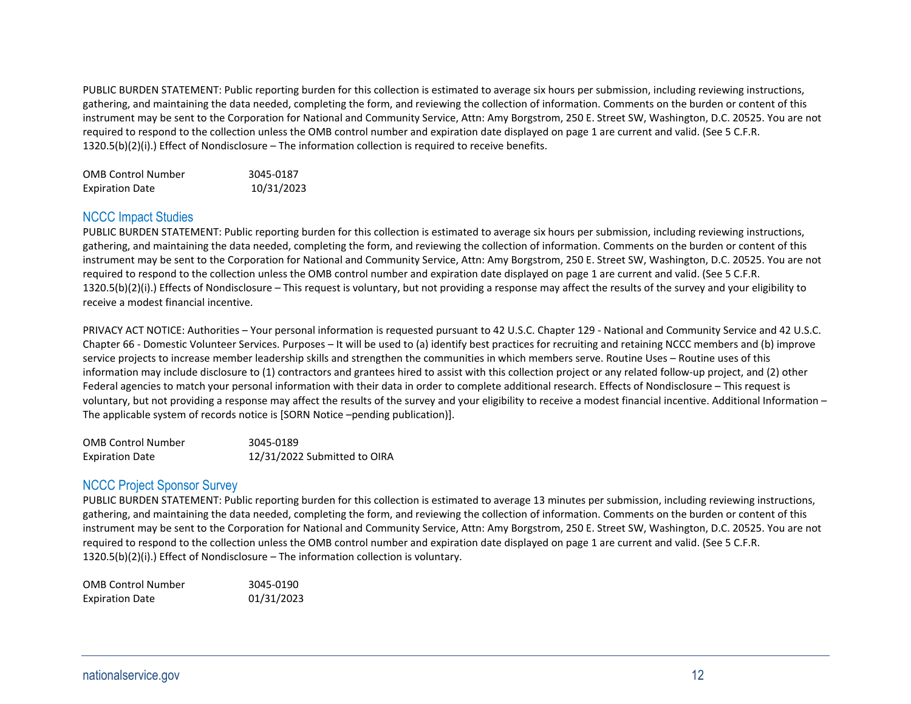PUBLIC BURDEN STATEMENT: Public reporting burden for this collection is estimated to average six hours per submission, including reviewing instructions, gathering, and maintaining the data needed, completing the form, and reviewing the collection of information. Comments on the burden or content of this instrument may be sent to the Corporation for National and Community Service, Attn: Amy Borgstrom, 250 E. Street SW, Washington, D.C. 20525. You are not required to respond to the collection unless the OMB control number and expiration date displayed on page 1 are current and valid. (See 5 C.F.R. 1320.5(b)(2)(i).) Effect of Nondisclosure – The information collection is required to receive benefits.

| <b>OMB Control Number</b> | 3045-0187  |
|---------------------------|------------|
| <b>Expiration Date</b>    | 10/31/2023 |

## NCCC Impact Studies

PUBLIC BURDEN STATEMENT: Public reporting burden for this collection is estimated to average six hours per submission, including reviewing instructions, gathering, and maintaining the data needed, completing the form, and reviewing the collection of information. Comments on the burden or content of this instrument may be sent to the Corporation for National and Community Service, Attn: Amy Borgstrom, 250 E. Street SW, Washington, D.C. 20525. You are not required to respond to the collection unless the OMB control number and expiration date displayed on page 1 are current and valid. (See 5 C.F.R.  $1320.5(b)(2)(i)$ .) Effects of Nondisclosure – This request is voluntary, but not providing a response may affect the results of the survey and your eligibility to receive a modest financial incentive.

PRIVACY ACT NOTICE: Authorities – Your personal information is requested pursuant to 42 U.S.C. Chapter 129 - National and Community Service and 42 U.S.C. Chapter 66 - Domestic Volunteer Services. Purposes – It will be used to (a) identify best practices for recruiting and retaining NCCC members and (b) improve service projects to increase member leadership skills and strengthen the communities in which members serve. Routine Uses – Routine uses of this information may include disclosure to (1) contractors and grantees hired to assist with this collection project or any related follow-up project, and (2) other Federal agencies to match your personal information with their data in order to complete additional research. Effects of Nondisclosure – This request is voluntary, but not providing a response may affect the results of the survey and your eligibility to receive a modest financial incentive. Additional Information – The applicable system of records notice is [SORN Notice –pending publication)].

| <b>OMB Control Number</b> | 3045-0189                    |
|---------------------------|------------------------------|
| <b>Expiration Date</b>    | 12/31/2022 Submitted to OIRA |

# NCCC Project Sponsor Survey

PUBLIC BURDEN STATEMENT: Public reporting burden for this collection is estimated to average 13 minutes per submission, including reviewing instructions, gathering, and maintaining the data needed, completing the form, and reviewing the collection of information. Comments on the burden or content of this instrument may be sent to the Corporation for National and Community Service, Attn: Amy Borgstrom, 250 E. Street SW, Washington, D.C. 20525. You are not required to respond to the collection unless the OMB control number and expiration date displayed on page 1 are current and valid. (See 5 C.F.R. 1320.5(b)(2)(i).) Effect of Nondisclosure – The information collection is voluntary.

| <b>OMB Control Number</b> | 3045-0190  |
|---------------------------|------------|
| <b>Expiration Date</b>    | 01/31/2023 |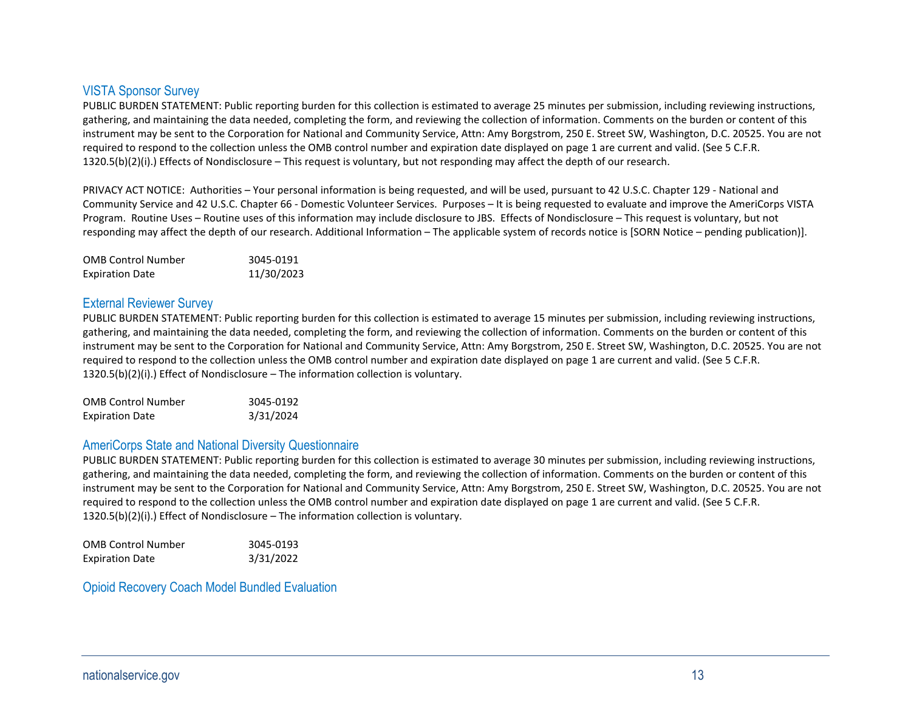# VISTA Sponsor Survey

PUBLIC BURDEN STATEMENT: Public reporting burden for this collection is estimated to average 25 minutes per submission, including reviewing instructions, gathering, and maintaining the data needed, completing the form, and reviewing the collection of information. Comments on the burden or content of this instrument may be sent to the Corporation for National and Community Service, Attn: Amy Borgstrom, 250 E. Street SW, Washington, D.C. 20525. You are not required to respond to the collection unless the OMB control number and expiration date displayed on page 1 are current and valid. (See 5 C.F.R. 1320.5(b)(2)(i).) Effects of Nondisclosure – This request is voluntary, but not responding may affect the depth of our research.

PRIVACY ACT NOTICE: Authorities – Your personal information is being requested, and will be used, pursuant to 42 U.S.C. Chapter 129 - National and Community Service and 42 U.S.C. Chapter 66 - Domestic Volunteer Services. Purposes – It is being requested to evaluate and improve the AmeriCorps VISTA Program. Routine Uses – Routine uses of this information may include disclosure to JBS. Effects of Nondisclosure – This request is voluntary, but not responding may affect the depth of our research. Additional Information – The applicable system of records notice is [SORN Notice – pending publication)].

| <b>OMB Control Number</b> | 3045-0191  |
|---------------------------|------------|
| <b>Expiration Date</b>    | 11/30/2023 |

## External Reviewer Survey

PUBLIC BURDEN STATEMENT: Public reporting burden for this collection is estimated to average 15 minutes per submission, including reviewing instructions, gathering, and maintaining the data needed, completing the form, and reviewing the collection of information. Comments on the burden or content of this instrument may be sent to the Corporation for National and Community Service, Attn: Amy Borgstrom, 250 E. Street SW, Washington, D.C. 20525. You are not required to respond to the collection unless the OMB control number and expiration date displayed on page 1 are current and valid. (See 5 C.F.R.  $1320.5(b)(2)(i)$ . Effect of Nondisclosure – The information collection is voluntary.

| <b>OMB Control Number</b> | 3045-0192 |
|---------------------------|-----------|
| <b>Expiration Date</b>    | 3/31/2024 |

### AmeriCorps State and National Diversity Questionnaire

PUBLIC BURDEN STATEMENT: Public reporting burden for this collection is estimated to average 30 minutes per submission, including reviewing instructions, gathering, and maintaining the data needed, completing the form, and reviewing the collection of information. Comments on the burden or content of this instrument may be sent to the Corporation for National and Community Service, Attn: Amy Borgstrom, 250 E. Street SW, Washington, D.C. 20525. You are not required to respond to the collection unless the OMB control number and expiration date displayed on page 1 are current and valid. (See 5 C.F.R. 1320.5(b)(2)(i).) Effect of Nondisclosure – The information collection is voluntary.

| <b>OMB Control Number</b> | 3045-0193 |
|---------------------------|-----------|
| <b>Expiration Date</b>    | 3/31/2022 |

Opioid Recovery Coach Model Bundled Evaluation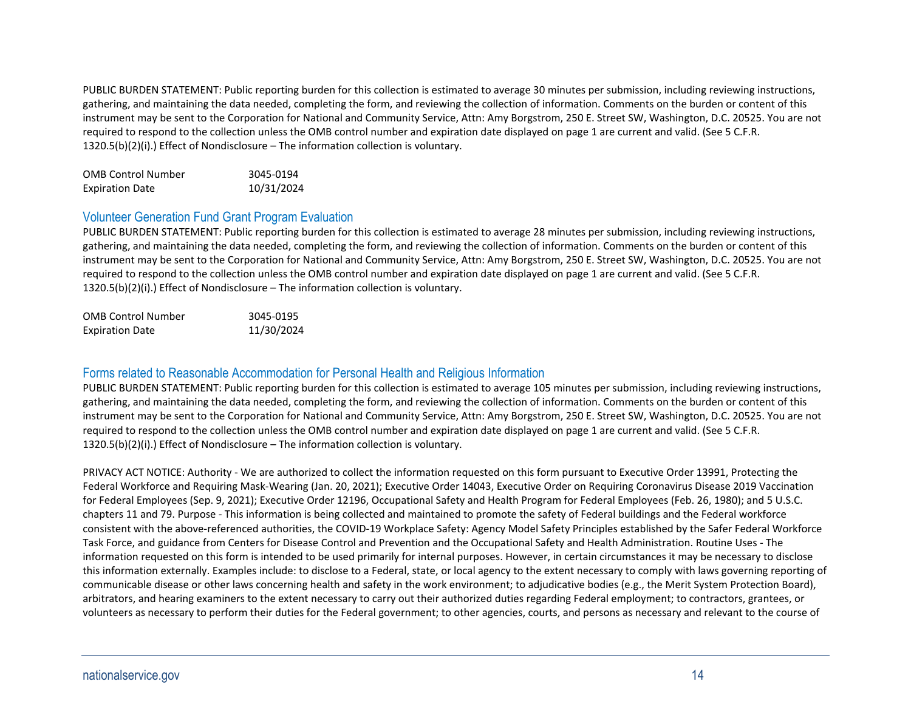PUBLIC BURDEN STATEMENT: Public reporting burden for this collection is estimated to average 30 minutes per submission, including reviewing instructions, gathering, and maintaining the data needed, completing the form, and reviewing the collection of information. Comments on the burden or content of this instrument may be sent to the Corporation for National and Community Service, Attn: Amy Borgstrom, 250 E. Street SW, Washington, D.C. 20525. You are not required to respond to the collection unless the OMB control number and expiration date displayed on page 1 are current and valid. (See 5 C.F.R. 1320.5(b)(2)(i).) Effect of Nondisclosure – The information collection is voluntary.

| <b>OMB Control Number</b> | 3045-0194  |
|---------------------------|------------|
| <b>Expiration Date</b>    | 10/31/2024 |

# Volunteer Generation Fund Grant Program Evaluation

PUBLIC BURDEN STATEMENT: Public reporting burden for this collection is estimated to average 28 minutes per submission, including reviewing instructions, gathering, and maintaining the data needed, completing the form, and reviewing the collection of information. Comments on the burden or content of this instrument may be sent to the Corporation for National and Community Service, Attn: Amy Borgstrom, 250 E. Street SW, Washington, D.C. 20525. You are not required to respond to the collection unless the OMB control number and expiration date displayed on page 1 are current and valid. (See 5 C.F.R. 1320.5(b)(2)(i).) Effect of Nondisclosure – The information collection is voluntary.

| <b>OMB Control Number</b> | 3045-0195  |
|---------------------------|------------|
| <b>Expiration Date</b>    | 11/30/2024 |

# Forms related to Reasonable Accommodation for Personal Health and Religious Information

PUBLIC BURDEN STATEMENT: Public reporting burden for this collection is estimated to average 105 minutes per submission, including reviewing instructions, gathering, and maintaining the data needed, completing the form, and reviewing the collection of information. Comments on the burden or content of this instrument may be sent to the Corporation for National and Community Service, Attn: Amy Borgstrom, 250 E. Street SW, Washington, D.C. 20525. You are not required to respond to the collection unless the OMB control number and expiration date displayed on page 1 are current and valid. (See 5 C.F.R.  $1320.5(b)(2)(i)$ . Effect of Nondisclosure – The information collection is voluntary.

PRIVACY ACT NOTICE: Authority - We are authorized to collect the information requested on this form pursuant to Executive Order 13991, Protecting the Federal Workforce and Requiring Mask-Wearing (Jan. 20, 2021); Executive Order 14043, Executive Order on Requiring Coronavirus Disease 2019 Vaccination for Federal Employees (Sep. 9, 2021); Executive Order 12196, Occupational Safety and Health Program for Federal Employees (Feb. 26, 1980); and 5 U.S.C. chapters 11 and 79. Purpose - This information is being collected and maintained to promote the safety of Federal buildings and the Federal workforce consistent with the above-referenced authorities, the COVID-19 Workplace Safety: Agency Model Safety Principles established by the Safer Federal Workforce Task Force, and guidance from Centers for Disease Control and Prevention and the Occupational Safety and Health Administration. Routine Uses - The information requested on this form is intended to be used primarily for internal purposes. However, in certain circumstances it may be necessary to disclose this information externally. Examples include: to disclose to a Federal, state, or local agency to the extent necessary to comply with laws governing reporting of communicable disease or other laws concerning health and safety in the work environment; to adjudicative bodies (e.g., the Merit System Protection Board), arbitrators, and hearing examiners to the extent necessary to carry out their authorized duties regarding Federal employment; to contractors, grantees, or volunteers as necessary to perform their duties for the Federal government; to other agencies, courts, and persons as necessary and relevant to the course of